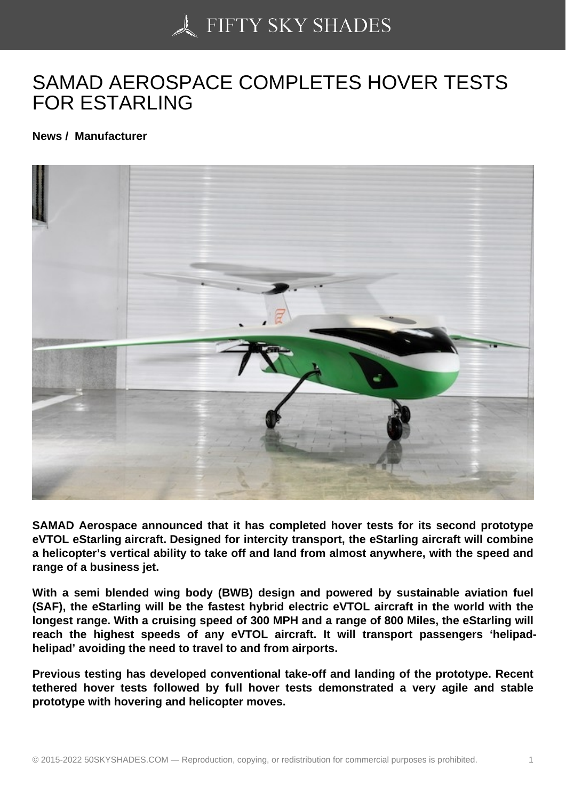## [SAMAD AEROSPACE](https://50skyshades.com) COMPLETES HOVER TESTS FOR ESTARLING

News / Manufacturer

SAMAD Aerospace announced that it has completed hover tests for its second prototype eVTOL eStarling aircraft. Designed for intercity transport, the eStarling aircraft will combine a helicopter's vertical ability to take off and land from almost anywhere, with the speed and range of a business jet.

With a semi blended wing body (BWB) design and powered by sustainable aviation fuel (SAF), the eStarling will be the fastest hybrid electric eVTOL aircraft in the world with the longest range. With a cruising speed of 300 MPH and a range of 800 Miles, the eStarling will reach the highest speeds of any eVTOL aircraft. It will transport passengers 'helipadhelipad' avoiding the need to travel to and from airports.

Previous testing has developed conventional take-off and landing of the prototype. Recent tethered hover tests followed by full hover tests demonstrated a very agile and stable prototype with hovering and helicopter moves.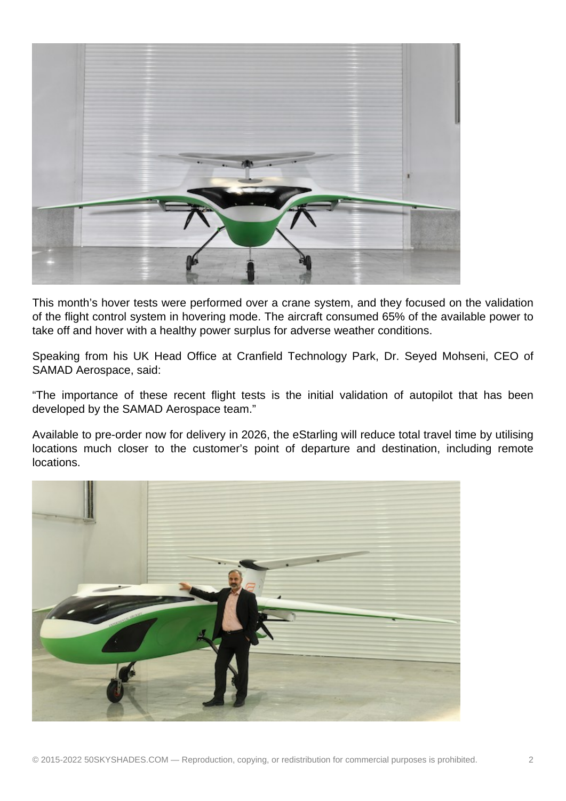

This month's hover tests were performed over a crane system, and they focused on the validation of the flight control system in hovering mode. The aircraft consumed 65% of the available power to take off and hover with a healthy power surplus for adverse weather conditions.

Speaking from his UK Head Office at Cranfield Technology Park, Dr. Seyed Mohseni, CEO of SAMAD Aerospace, said:

"The importance of these recent flight tests is the initial validation of autopilot that has been developed by the SAMAD Aerospace team."

Available to pre-order now for delivery in 2026, the eStarling will reduce total travel time by utilising locations much closer to the customer's point of departure and destination, including remote locations.